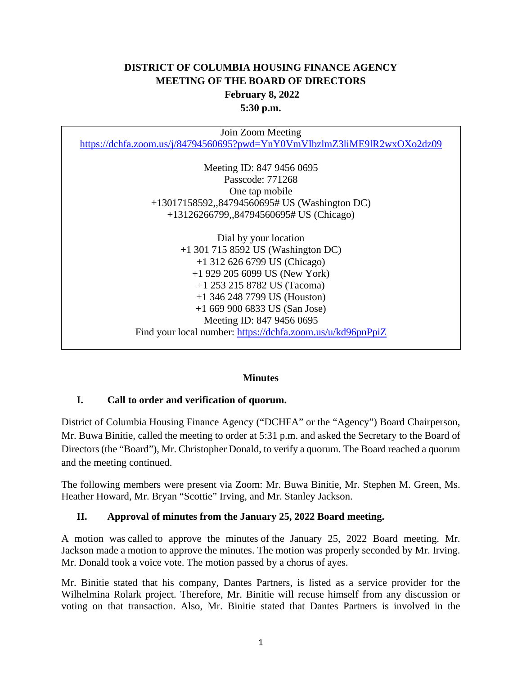## **DISTRICT OF COLUMBIA HOUSING FINANCE AGENCY MEETING OF THE BOARD OF DIRECTORS February 8, 2022 5:30 p.m.**

Join Zoom Meeting [https://dchfa.zoom.us/j/84794560695?pwd=YnY0VmVIbzlmZ3liME9lR2wxOXo2dz09](https://nam10.safelinks.protection.outlook.com/?url=https%3A%2F%2Fdchfa.zoom.us%2Fj%2F84794560695%3Fpwd%3DYnY0VmVIbzlmZ3liME9lR2wxOXo2dz09&data=04%7C01%7Ctparker%40dchfa.org%7C045f658c263a42ff0b1d08d9e4ef8156%7Ceb67f93a07b148e59e22c5c1a62bf643%7C0%7C0%7C637792539590265910%7CUnknown%7CTWFpbGZsb3d8eyJWIjoiMC4wLjAwMDAiLCJQIjoiV2luMzIiLCJBTiI6Ik1haWwiLCJXVCI6Mn0%3D%7C3000&sdata=AhsbfKvt7hmCiYSfmF0ryQKdMNwj5AQ87qEKu5iu67A%3D&reserved=0) Meeting ID: 847 9456 0695 Passcode: 771268 One tap mobile +13017158592,,84794560695# US (Washington DC) +13126266799,,84794560695# US (Chicago) Dial by your location +1 301 715 8592 US (Washington DC) +1 312 626 6799 US (Chicago) +1 929 205 6099 US (New York) +1 253 215 8782 US (Tacoma) +1 346 248 7799 US (Houston) +1 669 900 6833 US (San Jose) Meeting ID: 847 9456 0695 Find your local number: [https://dchfa.zoom.us/u/kd96pnPpiZ](https://nam10.safelinks.protection.outlook.com/?url=https%3A%2F%2Fdchfa.zoom.us%2Fu%2Fkd96pnPpiZ&data=04%7C01%7Ctparker%40dchfa.org%7C045f658c263a42ff0b1d08d9e4ef8156%7Ceb67f93a07b148e59e22c5c1a62bf643%7C0%7C0%7C637792539590265910%7CUnknown%7CTWFpbGZsb3d8eyJWIjoiMC4wLjAwMDAiLCJQIjoiV2luMzIiLCJBTiI6Ik1haWwiLCJXVCI6Mn0%3D%7C3000&sdata=meOCIICVvX627HJnOQNOdqF0rF8l6TCQLiw2SaLr850%3D&reserved=0)

#### **Minutes**

## **I. Call to order and verification of quorum.**

District of Columbia Housing Finance Agency ("DCHFA" or the "Agency") Board Chairperson, Mr. Buwa Binitie, called the meeting to order at 5:31 p.m. and asked the Secretary to the Board of Directors (the "Board"), Mr. Christopher Donald, to verify a quorum. The Board reached a quorum and the meeting continued.

The following members were present via Zoom: Mr. Buwa Binitie, Mr. Stephen M. Green, Ms. Heather Howard, Mr. Bryan "Scottie" Irving, and Mr. Stanley Jackson.

#### **II. Approval of minutes from the January 25, 2022 Board meeting.**

A motion was called to approve the minutes of the January 25, 2022 Board meeting. Mr. Jackson made a motion to approve the minutes. The motion was properly seconded by Mr. Irving. Mr. Donald took a voice vote. The motion passed by a chorus of ayes.

Mr. Binitie stated that his company, Dantes Partners, is listed as a service provider for the Wilhelmina Rolark project. Therefore, Mr. Binitie will recuse himself from any discussion or voting on that transaction. Also, Mr. Binitie stated that Dantes Partners is involved in the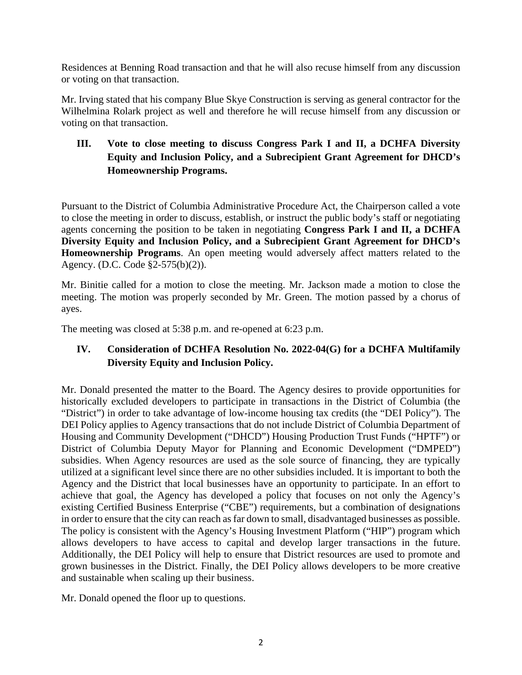Residences at Benning Road transaction and that he will also recuse himself from any discussion or voting on that transaction.

Mr. Irving stated that his company Blue Skye Construction is serving as general contractor for the Wilhelmina Rolark project as well and therefore he will recuse himself from any discussion or voting on that transaction.

## **III. Vote to close meeting to discuss Congress Park I and II, a DCHFA Diversity Equity and Inclusion Policy, and a Subrecipient Grant Agreement for DHCD's Homeownership Programs.**

Pursuant to the District of Columbia Administrative Procedure Act, the Chairperson called a vote to close the meeting in order to discuss, establish, or instruct the public body's staff or negotiating agents concerning the position to be taken in negotiating **Congress Park I and II, a DCHFA Diversity Equity and Inclusion Policy, and a Subrecipient Grant Agreement for DHCD's Homeownership Programs**. An open meeting would adversely affect matters related to the Agency. (D.C. Code §2-575(b)(2)).

Mr. Binitie called for a motion to close the meeting. Mr. Jackson made a motion to close the meeting. The motion was properly seconded by Mr. Green. The motion passed by a chorus of ayes.

The meeting was closed at 5:38 p.m. and re-opened at 6:23 p.m.

## **IV. Consideration of DCHFA Resolution No. 2022-04(G) for a DCHFA Multifamily Diversity Equity and Inclusion Policy.**

Mr. Donald presented the matter to the Board. The Agency desires to provide opportunities for historically excluded developers to participate in transactions in the District of Columbia (the "District") in order to take advantage of low-income housing tax credits (the "DEI Policy"). The DEI Policy applies to Agency transactions that do not include District of Columbia Department of Housing and Community Development ("DHCD") Housing Production Trust Funds ("HPTF") or District of Columbia Deputy Mayor for Planning and Economic Development ("DMPED") subsidies. When Agency resources are used as the sole source of financing, they are typically utilized at a significant level since there are no other subsidies included. It is important to both the Agency and the District that local businesses have an opportunity to participate. In an effort to achieve that goal, the Agency has developed a policy that focuses on not only the Agency's existing Certified Business Enterprise ("CBE") requirements, but a combination of designations in order to ensure that the city can reach as far down to small, disadvantaged businesses as possible. The policy is consistent with the Agency's Housing Investment Platform ("HIP") program which allows developers to have access to capital and develop larger transactions in the future. Additionally, the DEI Policy will help to ensure that District resources are used to promote and grown businesses in the District. Finally, the DEI Policy allows developers to be more creative and sustainable when scaling up their business.

Mr. Donald opened the floor up to questions.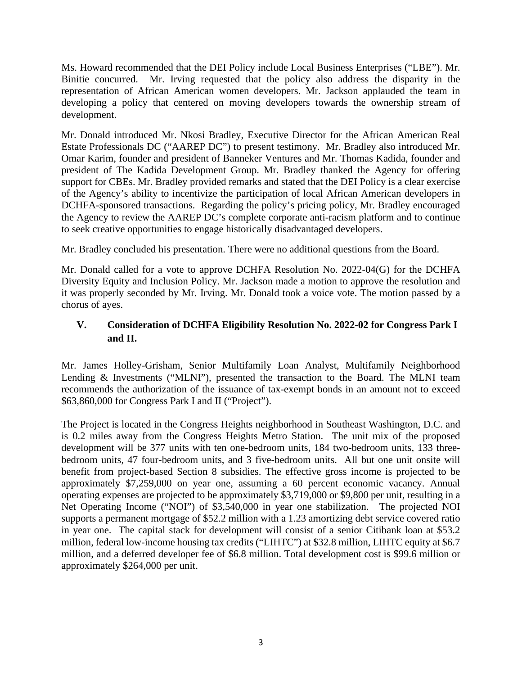Ms. Howard recommended that the DEI Policy include Local Business Enterprises ("LBE"). Mr. Binitie concurred. Mr. Irving requested that the policy also address the disparity in the representation of African American women developers. Mr. Jackson applauded the team in developing a policy that centered on moving developers towards the ownership stream of development.

Mr. Donald introduced Mr. Nkosi Bradley, Executive Director for the African American Real Estate Professionals DC ("AAREP DC") to present testimony. Mr. Bradley also introduced Mr. Omar Karim, founder and president of Banneker Ventures and Mr. Thomas Kadida, founder and president of The Kadida Development Group. Mr. Bradley thanked the Agency for offering support for CBEs. Mr. Bradley provided remarks and stated that the DEI Policy is a clear exercise of the Agency's ability to incentivize the participation of local African American developers in DCHFA-sponsored transactions. Regarding the policy's pricing policy, Mr. Bradley encouraged the Agency to review the AAREP DC's complete corporate anti-racism platform and to continue to seek creative opportunities to engage historically disadvantaged developers.

Mr. Bradley concluded his presentation. There were no additional questions from the Board.

Mr. Donald called for a vote to approve DCHFA Resolution No. 2022-04(G) for the DCHFA Diversity Equity and Inclusion Policy. Mr. Jackson made a motion to approve the resolution and it was properly seconded by Mr. Irving. Mr. Donald took a voice vote. The motion passed by a chorus of ayes.

# **V. Consideration of DCHFA Eligibility Resolution No. 2022-02 for Congress Park I and II.**

Mr. James Holley-Grisham, Senior Multifamily Loan Analyst, Multifamily Neighborhood Lending & Investments ("MLNI"), presented the transaction to the Board. The MLNI team recommends the authorization of the issuance of tax-exempt bonds in an amount not to exceed \$63,860,000 for Congress Park I and II ("Project").

The Project is located in the Congress Heights neighborhood in Southeast Washington, D.C. and is 0.2 miles away from the Congress Heights Metro Station. The unit mix of the proposed development will be 377 units with ten one-bedroom units, 184 two-bedroom units, 133 threebedroom units, 47 four-bedroom units, and 3 five-bedroom units. All but one unit onsite will benefit from project-based Section 8 subsidies. The effective gross income is projected to be approximately \$7,259,000 on year one, assuming a 60 percent economic vacancy. Annual operating expenses are projected to be approximately \$3,719,000 or \$9,800 per unit, resulting in a Net Operating Income ("NOI") of \$3,540,000 in year one stabilization. The projected NOI supports a permanent mortgage of \$52.2 million with a 1.23 amortizing debt service covered ratio in year one. The capital stack for development will consist of a senior Citibank loan at \$53.2 million, federal low-income housing tax credits ("LIHTC") at \$32.8 million, LIHTC equity at \$6.7 million, and a deferred developer fee of \$6.8 million. Total development cost is \$99.6 million or approximately \$264,000 per unit.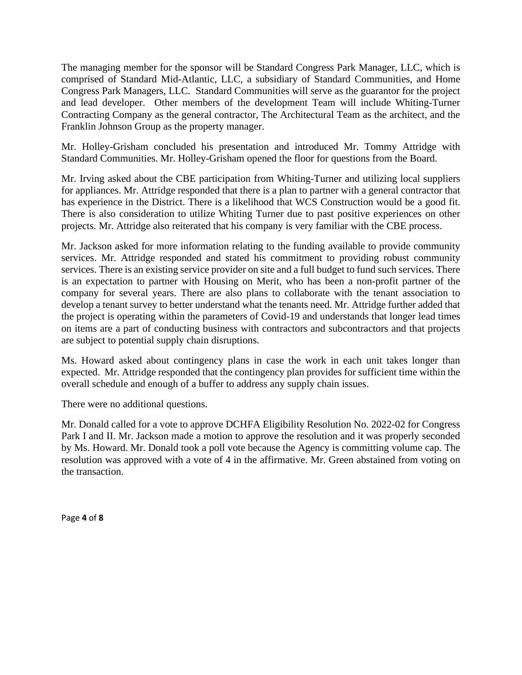The managing member for the sponsor will be Standard Congress Park Manager, LLC, which is comprised of Standard Mid-Atlantic, LLC, a subsidiary of Standard Communities, and Home Congress Park Managers, LLC. Standard Communities will serve as the guarantor for the project and lead developer. Other members of the development Team will include Whiting-Turner Contracting Company as the general contractor, The Architectural Team as the architect, and the Franklin Johnson Group as the property manager.

Mr. Holley-Grisham concluded his presentation and introduced Mr. Tommy Attridge with Standard Communities. Mr. Holley-Grisham opened the floor for questions from the Board.

Mr. Irving asked about the CBE participation from Whiting-Turner and utilizing local suppliers for appliances. Mr. Attridge responded that there is a plan to partner with a general contractor that has experience in the District. There is a likelihood that WCS Construction would be a good fit. There is also consideration to utilize Whiting Turner due to past positive experiences on other projects. Mr. Attridge also reiterated that his company is very familiar with the CBE process.

Mr. Jackson asked for more information relating to the funding available to provide community services. Mr. Attridge responded and stated his commitment to providing robust community services. There is an existing service provider on site and a full budget to fund such services. There is an expectation to partner with Housing on Merit, who has been a non-profit partner of the company for several years. There are also plans to collaborate with the tenant association to develop a tenant survey to better understand what the tenants need. Mr. Attridge further added that the project is operating within the parameters of Covid-19 and understands that longer lead times on items are a part of conducting business with contractors and subcontractors and that projects are subject to potential supply chain disruptions.

Ms. Howard asked about contingency plans in case the work in each unit takes longer than expected. Mr. Attridge responded that the contingency plan provides for sufficient time within the overall schedule and enough of a buffer to address any supply chain issues.

There were no additional questions.

Mr. Donald called for a vote to approve DCHFA Eligibility Resolution No. 2022-02 for Congress Park I and II. Mr. Jackson made a motion to approve the resolution and it was properly seconded by Ms. Howard. Mr. Donald took a poll vote because the Agency is committing volume cap. The resolution was approved with a vote of 4 in the affirmative. Mr. Green abstained from voting on the transaction.

Page **4** of **8**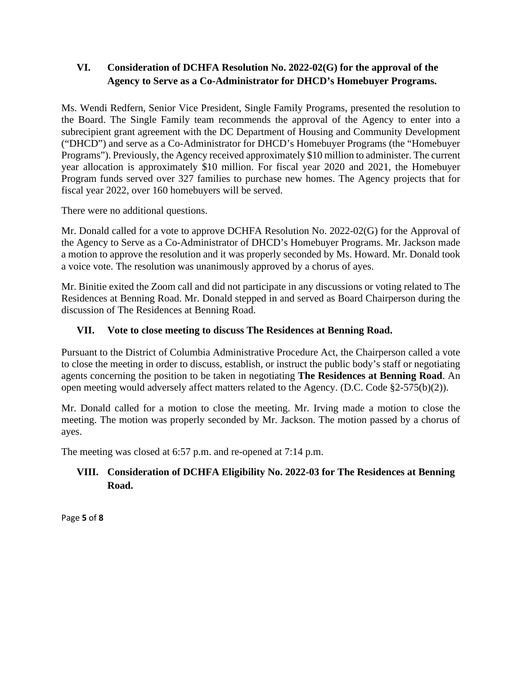## **VI. Consideration of DCHFA Resolution No. 2022-02(G) for the approval of the Agency to Serve as a Co-Administrator for DHCD's Homebuyer Programs.**

Ms. Wendi Redfern, Senior Vice President, Single Family Programs, presented the resolution to the Board. The Single Family team recommends the approval of the Agency to enter into a subrecipient grant agreement with the DC Department of Housing and Community Development ("DHCD") and serve as a Co-Administrator for DHCD's Homebuyer Programs (the "Homebuyer Programs"). Previously, the Agency received approximately \$10 million to administer. The current year allocation is approximately \$10 million. For fiscal year 2020 and 2021, the Homebuyer Program funds served over 327 families to purchase new homes. The Agency projects that for fiscal year 2022, over 160 homebuyers will be served.

There were no additional questions.

Mr. Donald called for a vote to approve DCHFA Resolution No. 2022-02(G) for the Approval of the Agency to Serve as a Co-Administrator of DHCD's Homebuyer Programs. Mr. Jackson made a motion to approve the resolution and it was properly seconded by Ms. Howard. Mr. Donald took a voice vote. The resolution was unanimously approved by a chorus of ayes.

Mr. Binitie exited the Zoom call and did not participate in any discussions or voting related to The Residences at Benning Road. Mr. Donald stepped in and served as Board Chairperson during the discussion of The Residences at Benning Road.

## **VII. Vote to close meeting to discuss The Residences at Benning Road.**

Pursuant to the District of Columbia Administrative Procedure Act, the Chairperson called a vote to close the meeting in order to discuss, establish, or instruct the public body's staff or negotiating agents concerning the position to be taken in negotiating **The Residences at Benning Road**. An open meeting would adversely affect matters related to the Agency. (D.C. Code §2-575(b)(2)).

Mr. Donald called for a motion to close the meeting. Mr. Irving made a motion to close the meeting. The motion was properly seconded by Mr. Jackson. The motion passed by a chorus of ayes.

The meeting was closed at 6:57 p.m. and re-opened at 7:14 p.m.

## **VIII. Consideration of DCHFA Eligibility No. 2022-03 for The Residences at Benning Road.**

Page **5** of **8**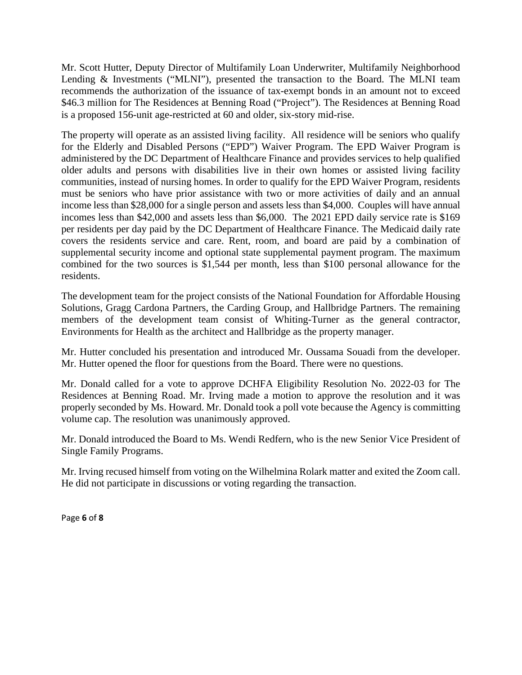Mr. Scott Hutter, Deputy Director of Multifamily Loan Underwriter, Multifamily Neighborhood Lending & Investments ("MLNI"), presented the transaction to the Board. The MLNI team recommends the authorization of the issuance of tax-exempt bonds in an amount not to exceed \$46.3 million for The Residences at Benning Road ("Project"). The Residences at Benning Road is a proposed 156-unit age-restricted at 60 and older, six-story mid-rise.

The property will operate as an assisted living facility. All residence will be seniors who qualify for the Elderly and Disabled Persons ("EPD") Waiver Program. The EPD Waiver Program is administered by the DC Department of Healthcare Finance and provides services to help qualified older adults and persons with disabilities live in their own homes or assisted living facility communities, instead of nursing homes. In order to qualify for the EPD Waiver Program, residents must be seniors who have prior assistance with two or more activities of daily and an annual income less than \$28,000 for a single person and assets less than \$4,000. Couples will have annual incomes less than \$42,000 and assets less than \$6,000. The 2021 EPD daily service rate is \$169 per residents per day paid by the DC Department of Healthcare Finance. The Medicaid daily rate covers the residents service and care. Rent, room, and board are paid by a combination of supplemental security income and optional state supplemental payment program. The maximum combined for the two sources is \$1,544 per month, less than \$100 personal allowance for the residents.

The development team for the project consists of the National Foundation for Affordable Housing Solutions, Gragg Cardona Partners, the Carding Group, and Hallbridge Partners. The remaining members of the development team consist of Whiting-Turner as the general contractor, Environments for Health as the architect and Hallbridge as the property manager.

Mr. Hutter concluded his presentation and introduced Mr. Oussama Souadi from the developer. Mr. Hutter opened the floor for questions from the Board. There were no questions.

Mr. Donald called for a vote to approve DCHFA Eligibility Resolution No. 2022-03 for The Residences at Benning Road. Mr. Irving made a motion to approve the resolution and it was properly seconded by Ms. Howard. Mr. Donald took a poll vote because the Agency is committing volume cap. The resolution was unanimously approved.

Mr. Donald introduced the Board to Ms. Wendi Redfern, who is the new Senior Vice President of Single Family Programs.

Mr. Irving recused himself from voting on the Wilhelmina Rolark matter and exited the Zoom call. He did not participate in discussions or voting regarding the transaction.

Page **6** of **8**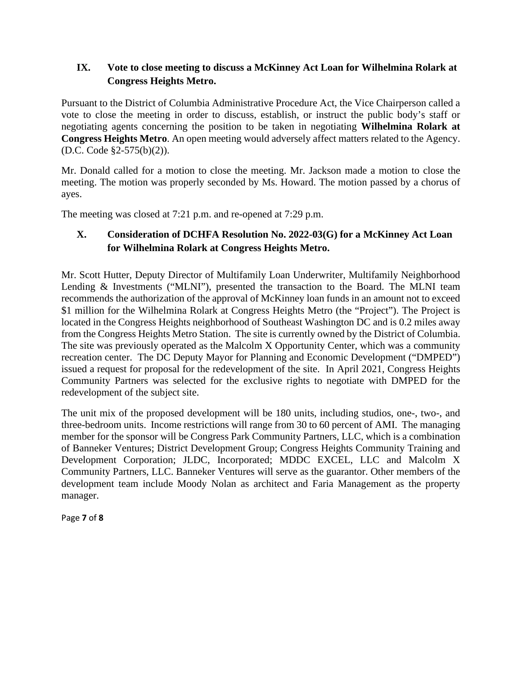#### **IX. Vote to close meeting to discuss a McKinney Act Loan for Wilhelmina Rolark at Congress Heights Metro.**

Pursuant to the District of Columbia Administrative Procedure Act, the Vice Chairperson called a vote to close the meeting in order to discuss, establish, or instruct the public body's staff or negotiating agents concerning the position to be taken in negotiating **Wilhelmina Rolark at Congress Heights Metro**. An open meeting would adversely affect matters related to the Agency. (D.C. Code §2-575(b)(2)).

Mr. Donald called for a motion to close the meeting. Mr. Jackson made a motion to close the meeting. The motion was properly seconded by Ms. Howard. The motion passed by a chorus of ayes.

The meeting was closed at 7:21 p.m. and re-opened at 7:29 p.m.

# **X. Consideration of DCHFA Resolution No. 2022-03(G) for a McKinney Act Loan for Wilhelmina Rolark at Congress Heights Metro.**

Mr. Scott Hutter, Deputy Director of Multifamily Loan Underwriter, Multifamily Neighborhood Lending & Investments ("MLNI"), presented the transaction to the Board. The MLNI team recommends the authorization of the approval of McKinney loan funds in an amount not to exceed \$1 million for the Wilhelmina Rolark at Congress Heights Metro (the "Project"). The Project is located in the Congress Heights neighborhood of Southeast Washington DC and is 0.2 miles away from the Congress Heights Metro Station. The site is currently owned by the District of Columbia. The site was previously operated as the Malcolm X Opportunity Center, which was a community recreation center. The DC Deputy Mayor for Planning and Economic Development ("DMPED") issued a request for proposal for the redevelopment of the site. In April 2021, Congress Heights Community Partners was selected for the exclusive rights to negotiate with DMPED for the redevelopment of the subject site.

The unit mix of the proposed development will be 180 units, including studios, one-, two-, and three-bedroom units. Income restrictions will range from 30 to 60 percent of AMI. The managing member for the sponsor will be Congress Park Community Partners, LLC, which is a combination of Banneker Ventures; District Development Group; Congress Heights Community Training and Development Corporation; JLDC, Incorporated; MDDC EXCEL, LLC and Malcolm X Community Partners, LLC. Banneker Ventures will serve as the guarantor. Other members of the development team include Moody Nolan as architect and Faria Management as the property manager.

Page **7** of **8**